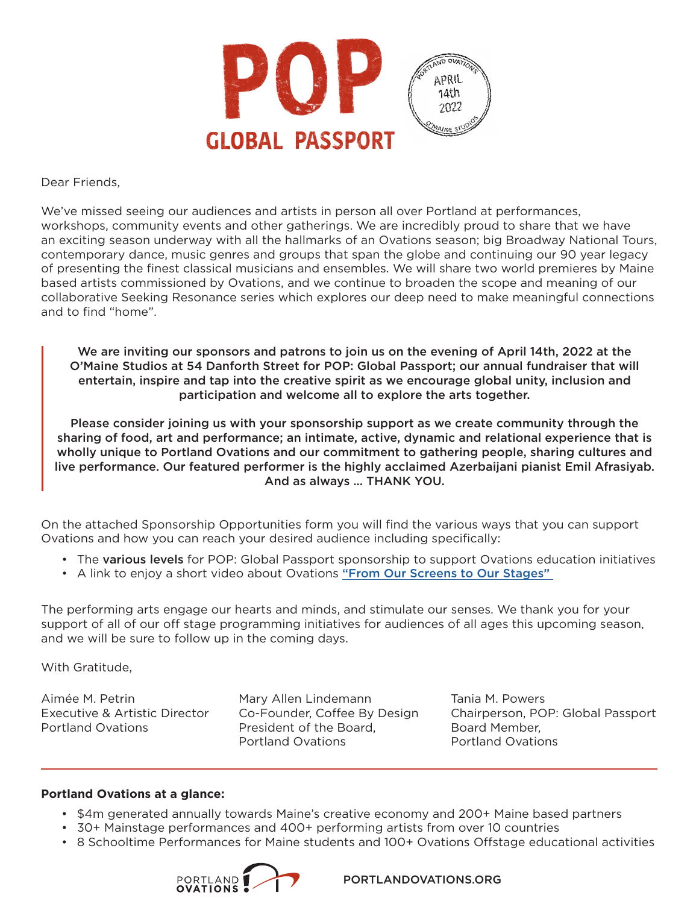

Dear Friends,

We've missed seeing our audiences and artists in person all over Portland at performances, workshops, community events and other gatherings. We are incredibly proud to share that we have an exciting season underway with all the hallmarks of an Ovations season; big Broadway National Tours, contemporary dance, music genres and groups that span the globe and continuing our 90 year legacy of presenting the finest classical musicians and ensembles. We will share two world premieres by Maine based artists commissioned by Ovations, and we continue to broaden the scope and meaning of our collaborative Seeking Resonance series which explores our deep need to make meaningful connections and to find "home".

We are inviting our sponsors and patrons to join us on the evening of April 14th, 2022 at the O'Maine Studios at 54 Danforth Street for POP: Global Passport; our annual fundraiser that will entertain, inspire and tap into the creative spirit as we encourage global unity, inclusion and participation and welcome all to explore the arts together.

Please consider joining us with your sponsorship support as we create community through the sharing of food, art and performance; an intimate, active, dynamic and relational experience that is wholly unique to Portland Ovations and our commitment to gathering people, sharing cultures and live performance. Our featured performer is the highly acclaimed Azerbaijani pianist Emil Afrasiyab. And as always … THANK YOU.

On the attached Sponsorship Opportunities form you will find the various ways that you can support Ovations and how you can reach your desired audience including specifically:

- The various levels for POP: Global Passport sponsorship to support Ovations education initiatives
- A link to enjoy a short video about Ovations "From Our Screens to Our Stages"

The performing arts engage our hearts and minds, and stimulate our senses. We thank you for your support of all of our off stage programming initiatives for audiences of all ages this upcoming season, and we will be sure to follow up in the coming days.

With Gratitude,

Aimée M. Petrin Executive & Artistic Director Portland Ovations

Mary Allen Lindemann Co-Founder, Coffee By Design President of the Board, Portland Ovations

Tania M. Powers Chairperson, POP: Global Passport Board Member, Portland Ovations

#### **Portland Ovations at a glance:**

- \$4m generated annually towards Maine's creative economy and 200+ Maine based partners
- 30+ Mainstage performances and 400+ performing artists from over 10 countries
- 8 Schooltime Performances for Maine students and 100+ Ovations Offstage educational activities



PORTLANDOVATIONS.ORG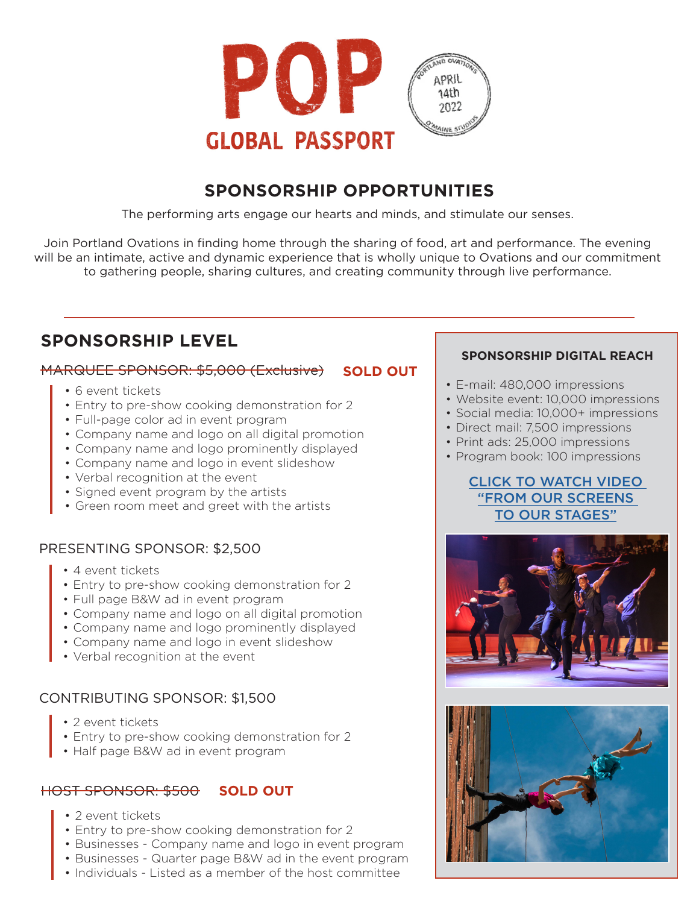

# **SPONSORSHIP OPPORTUNITIES**

The performing arts engage our hearts and minds, and stimulate our senses.

Join Portland Ovations in finding home through the sharing of food, art and performance. The evening will be an intimate, active and dynamic experience that is wholly unique to Ovations and our commitment to gathering people, sharing cultures, and creating community through live performance.

# **SPONSORSHIP LEVEL**

### MARQUEE SPONSOR: \$5,000 (Exclusive) **SOLD OUT**

- 6 event tickets
- Entry to pre-show cooking demonstration for 2
- Full-page color ad in event program
- Company name and logo on all digital promotion
- Company name and logo prominently displayed
- Company name and logo in event slideshow
- Verbal recognition at the event
- Signed event program by the artists
- Green room meet and greet with the artists

## PRESENTING SPONSOR: \$2,500

- 4 event tickets
- Entry to pre-show cooking demonstration for 2
- Full page B&W ad in event program
- Company name and logo on all digital promotion
- Company name and logo prominently displayed
- Company name and logo in event slideshow
- Verbal recognition at the event

#### CONTRIBUTING SPONSOR: \$1,500

- 2 event tickets
- Entry to pre-show cooking demonstration for 2
- Half page B&W ad in event program

## **HOST SPONSOR: \$500 SOLD OUT**

- 2 event tickets
- Entry to pre-show cooking demonstration for 2
- Businesses Company name and logo in event program
- Businesses Quarter page B&W ad in the event program
- Individuals Listed as a member of the host committee

#### **SPONSORSHIP DIGITAL REACH**

- E-mail: 480,000 impressions
- Website event: 10,000 impressions
- Social media: 10,000+ impressions
- Direct mail: 7,500 impressions
- Print ads: 25,000 impressions
- Program book: 100 impressions

### CLICK TO [WATCH VIDEO](https://www.youtube.com/watch?v=aXQNPNoF2pY&t=24s)  ["FROM OUR SCREENS](https://www.youtube.com/watch?v=aXQNPNoF2pY&t=24s)  [TO OUR STAGES"](https://www.youtube.com/watch?v=aXQNPNoF2pY&t=24s)